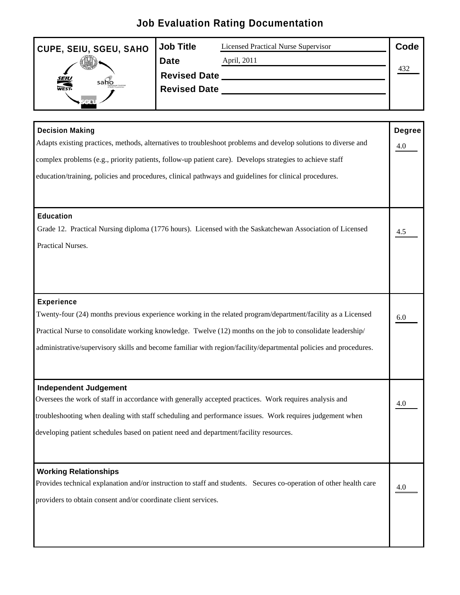## **Job Evaluation Rating Documentation**

| CUPE, SEIU, SGEU, SAHO Job Title |                     | Licensed Practical Nurse Supervisor | Code |  |
|----------------------------------|---------------------|-------------------------------------|------|--|
| <b>RANCHO</b>                    | Date                | April, 2011                         |      |  |
|                                  | Revised Date _      |                                     | ᠇ᢣ᠘  |  |
|                                  | <b>Revised Date</b> |                                     |      |  |
|                                  |                     |                                     |      |  |

| <b>Decision Making</b>                                                                                             | Degree            |
|--------------------------------------------------------------------------------------------------------------------|-------------------|
| Adapts existing practices, methods, alternatives to troubleshoot problems and develop solutions to diverse and     | $\underline{4.0}$ |
| complex problems (e.g., priority patients, follow-up patient care). Develops strategies to achieve staff           |                   |
| education/training, policies and procedures, clinical pathways and guidelines for clinical procedures.             |                   |
| <b>Education</b>                                                                                                   |                   |
| Grade 12. Practical Nursing diploma (1776 hours). Licensed with the Saskatchewan Association of Licensed           | $\frac{4.5}{2}$   |
| Practical Nurses.                                                                                                  |                   |
| <b>Experience</b>                                                                                                  |                   |
| Twenty-four (24) months previous experience working in the related program/department/facility as a Licensed       | 6.0               |
| Practical Nurse to consolidate working knowledge. Twelve (12) months on the job to consolidate leadership/         |                   |
| administrative/supervisory skills and become familiar with region/facility/departmental policies and procedures.   |                   |
| Independent Judgement                                                                                              |                   |
| Oversees the work of staff in accordance with generally accepted practices. Work requires analysis and             | $\underline{4.0}$ |
| troubleshooting when dealing with staff scheduling and performance issues. Work requires judgement when            |                   |
| developing patient schedules based on patient need and department/facility resources.                              |                   |
| <b>Working Relationships</b>                                                                                       |                   |
| Provides technical explanation and/or instruction to staff and students. Secures co-operation of other health care | $\underline{4.0}$ |
| providers to obtain consent and/or coordinate client services.                                                     |                   |
|                                                                                                                    |                   |
|                                                                                                                    |                   |